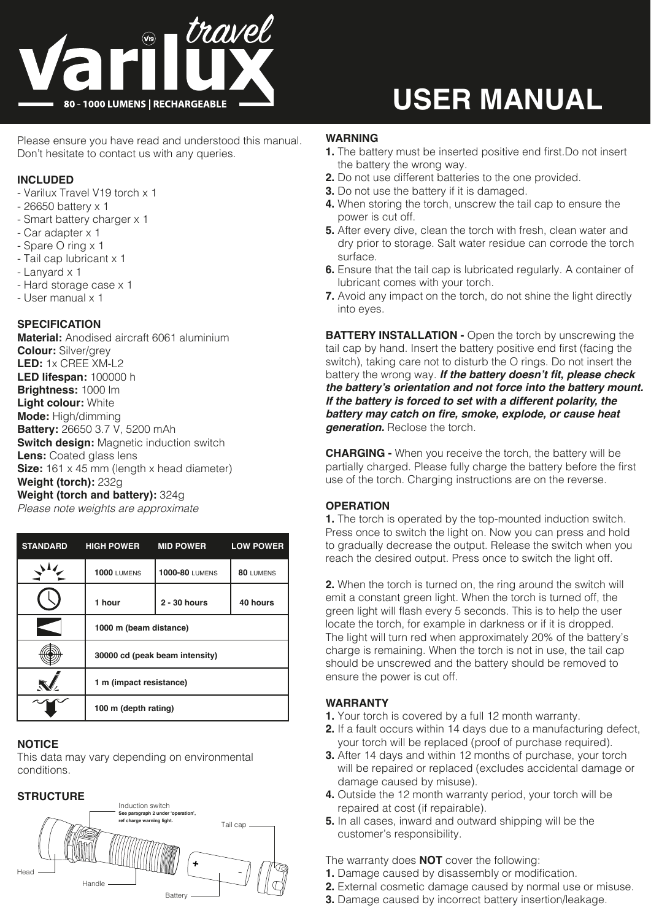

# **USER MANUAL**

Please ensure you have read and understood this manual. Don't hesitate to contact us with any queries.

## **INCLUDED**

- Varilux Travel V19 torch x 1
- 26650 battery x 1
- Smart battery charger x 1
- Car adapter x 1
- Spare O ring x 1
- Tail cap lubricant x 1
- Lanyard x 1
- Hard storage case x 1
- User manual x 1

#### **SPECIFICATION**

**Material:** Anodised aircraft 6061 aluminium **Colour:** Silver/grey **LED:** 1x CREE XM-L2 **LED lifespan:** 100000 h **Brightness:** 1000 lm **Light colour:** White **Mode:** High/dimming **Battery:** 26650 3.7 V, 5200 mAh **Switch design: Magnetic induction switch Lens:** Coated glass lens **Size:** 161 x 45 mm (length x head diameter) **Weight (torch):** 232g **Weight (torch and battery):** 324g

*Please note weights are approximate*

| <b>STANDARD</b> | <b>HIGH POWER</b>              | <b>MID POWER</b>      | <b>LOW POWER</b> |
|-----------------|--------------------------------|-----------------------|------------------|
|                 | <b>1000 LUMENS</b>             | <b>1000-80 LUMENS</b> | 80 LUMENS        |
|                 | 1 hour                         | $2 - 30$ hours        | 40 hours         |
|                 | 1000 m (beam distance)         |                       |                  |
|                 | 30000 cd (peak beam intensity) |                       |                  |
|                 | 1 m (impact resistance)        |                       |                  |
|                 | 100 m (depth rating)           |                       |                  |

#### **NOTICE**

This data may vary depending on environmental conditions.

#### **STRUCTURE**



#### **WARNING**

- **1.** The battery must be inserted positive end first.Do not insert the battery the wrong way.
- **2.** Do not use different batteries to the one provided.
- **3.** Do not use the battery if it is damaged.
- **4.** When storing the torch, unscrew the tail cap to ensure the power is cut off.
- **5.** After every dive, clean the torch with fresh, clean water and dry prior to storage. Salt water residue can corrode the torch surface.
- **6.** Ensure that the tail cap is lubricated regularly. A container of lubricant comes with your torch.
- **7.** Avoid any impact on the torch, do not shine the light directly into eyes.

**BATTERY INSTALLATION -** Open the torch by unscrewing the tail cap by hand. Insert the battery positive end first (facing the switch), taking care not to disturb the O rings. Do not insert the battery the wrong way. **If the battery doesn't fit, please check the battery's orientation and not force into the battery mount. If the battery is forced to set with a different polarity, the battery may catch on fire, smoke, explode, or cause heat generation.** Reclose the torch.

**CHARGING -** When you receive the torch, the battery will be partially charged. Please fully charge the battery before the first use of the torch. Charging instructions are on the reverse.

#### **OPERATION**

**1.** The torch is operated by the top-mounted induction switch. Press once to switch the light on. Now you can press and hold to gradually decrease the output. Release the switch when you reach the desired output. Press once to switch the light off.

**2.** When the torch is turned on, the ring around the switch will emit a constant green light. When the torch is turned off, the green light will flash every 5 seconds. This is to help the user locate the torch, for example in darkness or if it is dropped. The light will turn red when approximately 20% of the battery's charge is remaining. When the torch is not in use, the tail cap should be unscrewed and the battery should be removed to ensure the power is cut off.

# **WARRANTY**

- **1.** Your torch is covered by a full 12 month warranty.
- **2.** If a fault occurs within 14 days due to a manufacturing defect, your torch will be replaced (proof of purchase required).
- **3.** After 14 days and within 12 months of purchase, your torch will be repaired or replaced (excludes accidental damage or damage caused by misuse).
- **4.** Outside the 12 month warranty period, your torch will be repaired at cost (if repairable).
- **5.** In all cases, inward and outward shipping will be the customer's responsibility.

The warranty does **NOT** cover the following:

- **1.** Damage caused by disassembly or modification.
- **2.** External cosmetic damage caused by normal use or misuse.
- **3.** Damage caused by incorrect battery insertion/leakage.